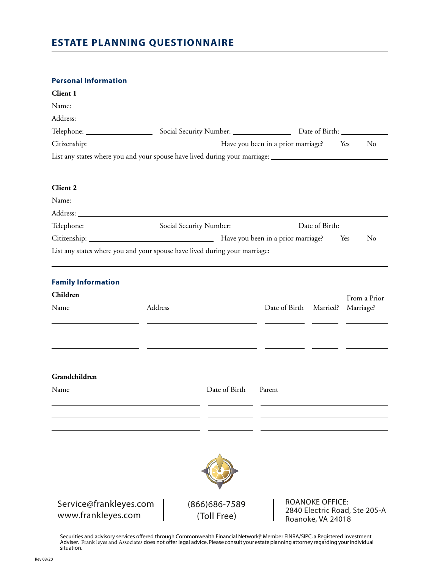# **ESTATE PLANNING QUESTIONNAIRE**

### **Personal Information**

| Client 1                                     |         |                                                                                                                                                                                                                                      |                                                                                                                |              |  |
|----------------------------------------------|---------|--------------------------------------------------------------------------------------------------------------------------------------------------------------------------------------------------------------------------------------|----------------------------------------------------------------------------------------------------------------|--------------|--|
|                                              |         |                                                                                                                                                                                                                                      |                                                                                                                |              |  |
|                                              |         |                                                                                                                                                                                                                                      |                                                                                                                |              |  |
|                                              |         |                                                                                                                                                                                                                                      |                                                                                                                |              |  |
|                                              |         |                                                                                                                                                                                                                                      |                                                                                                                | No           |  |
|                                              |         |                                                                                                                                                                                                                                      | List any states where you and your spouse have lived during your marriage: ___________________________________ |              |  |
| Client 2                                     |         |                                                                                                                                                                                                                                      |                                                                                                                |              |  |
|                                              |         |                                                                                                                                                                                                                                      |                                                                                                                |              |  |
|                                              |         | Address: <u>Address: Address: Address: Address: Address: Address: Address: Address: Address: Address: Address: Address: Address: Address: Address: Address: Address: Address: Address: Address: Address: Address: Address: Addre</u> |                                                                                                                |              |  |
|                                              |         |                                                                                                                                                                                                                                      |                                                                                                                |              |  |
|                                              |         |                                                                                                                                                                                                                                      |                                                                                                                | No           |  |
|                                              |         |                                                                                                                                                                                                                                      | List any states where you and your spouse have lived during your marriage: _________________________           |              |  |
|                                              |         |                                                                                                                                                                                                                                      |                                                                                                                |              |  |
| <b>Family Information</b>                    |         |                                                                                                                                                                                                                                      |                                                                                                                |              |  |
| Children                                     |         |                                                                                                                                                                                                                                      |                                                                                                                | From a Prior |  |
| Name                                         | Address |                                                                                                                                                                                                                                      | Date of Birth Married? Marriage?                                                                               |              |  |
|                                              |         |                                                                                                                                                                                                                                      |                                                                                                                |              |  |
|                                              |         |                                                                                                                                                                                                                                      |                                                                                                                |              |  |
| Grandchildren                                |         |                                                                                                                                                                                                                                      |                                                                                                                |              |  |
| Name                                         |         | Date of Birth                                                                                                                                                                                                                        | Parent                                                                                                         |              |  |
|                                              |         |                                                                                                                                                                                                                                      |                                                                                                                |              |  |
|                                              |         |                                                                                                                                                                                                                                      |                                                                                                                |              |  |
|                                              |         |                                                                                                                                                                                                                                      |                                                                                                                |              |  |
| Service@frankleyes.com<br>www.frankleyes.com |         | $(866)686 - 7589$<br>(Toll Free)                                                                                                                                                                                                     | <b>ROANOKE OFFICE:</b><br>2840 Electric Road, Ste 205-A<br>Roanoke, VA 24018                                   |              |  |

Securities and advisory services offered through Commonwealth Financial Network,® Member FINRA/SIPC, a Registered Investment Adviser. Frank leyes and Associates does not offer legal advice.Please consult your estate planning attorney regarding your individual situation.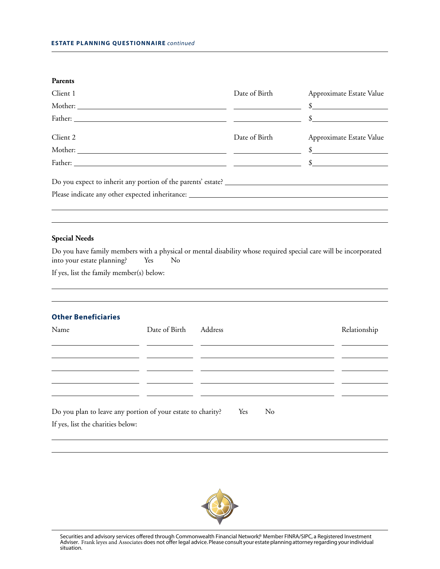#### **Parents**

| Client 1                                                                                                                                                                                                                       | Date of Birth | Approximate Estate Value |
|--------------------------------------------------------------------------------------------------------------------------------------------------------------------------------------------------------------------------------|---------------|--------------------------|
|                                                                                                                                                                                                                                |               |                          |
|                                                                                                                                                                                                                                |               |                          |
| Client 2                                                                                                                                                                                                                       | Date of Birth | Approximate Estate Value |
|                                                                                                                                                                                                                                |               |                          |
| Father: Samuel Communication of the Second Communication of the Second Communication of Second Communication of Second Communication of Second Communication of Second Communication of Second Communication of Second Communi |               |                          |
| Do you expect to inherit any portion of the parents' estate?                                                                                                                                                                   |               |                          |
| Please indicate any other expected inheritance: _________________________________                                                                                                                                              |               |                          |
|                                                                                                                                                                                                                                |               |                          |
|                                                                                                                                                                                                                                |               |                          |

#### **Special Needs**

Do you have family members with a physical or mental disability whose required special care will be incorporated into your estate planning? Yes No

If yes, list the family member(s) below:

### **Other Beneficiaries**

| Name                                                                                             | Date of Birth | Address   | Relationship |
|--------------------------------------------------------------------------------------------------|---------------|-----------|--------------|
|                                                                                                  |               |           |              |
|                                                                                                  |               |           |              |
|                                                                                                  |               |           |              |
| Do you plan to leave any portion of your estate to charity?<br>If yes, list the charities below: |               | Yes<br>No |              |



Securities and advisory services offered through Commonwealth Financial Network,® Member FINRA/SIPC, a Registered Investment Adviser. Frank leyes and Associates does not offer legal advice.Please consult your estate planning attorney regarding your individual situation.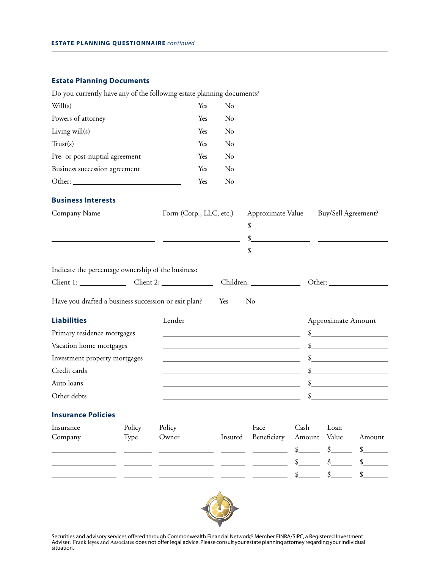## **Estate Planning Documents**

|                                                                                                                       |        | Do you currently have any of the following estate planning documents? |                         |                                                                                                                                                                                                                                                                                                                     |                                       |                    |                                                           |  |
|-----------------------------------------------------------------------------------------------------------------------|--------|-----------------------------------------------------------------------|-------------------------|---------------------------------------------------------------------------------------------------------------------------------------------------------------------------------------------------------------------------------------------------------------------------------------------------------------------|---------------------------------------|--------------------|-----------------------------------------------------------|--|
| Will(s)                                                                                                               |        | Yes                                                                   | No                      |                                                                                                                                                                                                                                                                                                                     |                                       |                    |                                                           |  |
| Powers of attorney                                                                                                    |        | Yes                                                                   | No                      |                                                                                                                                                                                                                                                                                                                     |                                       |                    |                                                           |  |
| Living will(s)                                                                                                        |        | Yes                                                                   | No                      |                                                                                                                                                                                                                                                                                                                     |                                       |                    |                                                           |  |
| Trust(s)                                                                                                              |        | Yes                                                                   | No                      |                                                                                                                                                                                                                                                                                                                     |                                       |                    |                                                           |  |
| Pre- or post-nuptial agreement                                                                                        |        | Yes                                                                   | No                      |                                                                                                                                                                                                                                                                                                                     |                                       |                    |                                                           |  |
| Business succession agreement                                                                                         |        | Yes                                                                   | No                      |                                                                                                                                                                                                                                                                                                                     |                                       |                    |                                                           |  |
|                                                                                                                       |        | Yes                                                                   | No                      |                                                                                                                                                                                                                                                                                                                     |                                       |                    |                                                           |  |
| <b>Business Interests</b>                                                                                             |        |                                                                       |                         |                                                                                                                                                                                                                                                                                                                     |                                       |                    |                                                           |  |
| Company Name                                                                                                          |        |                                                                       | Form (Corp., LLC, etc.) |                                                                                                                                                                                                                                                                                                                     | Approximate Value Buy/Sell Agreement? |                    |                                                           |  |
|                                                                                                                       |        | <u> 1989 - Johann Marie Barn, mars an t-Amerikaansk kommunister (</u> |                         |                                                                                                                                                                                                                                                                                                                     |                                       |                    |                                                           |  |
| <u> 1989 - Johann Harry Harry Harry Harry Harry Harry Harry Harry Harry Harry Harry Harry Harry Harry Harry Harry</u> |        |                                                                       |                         | $\frac{1}{2}$ $\frac{1}{2}$ $\frac{1}{2}$ $\frac{1}{2}$ $\frac{1}{2}$ $\frac{1}{2}$ $\frac{1}{2}$ $\frac{1}{2}$ $\frac{1}{2}$ $\frac{1}{2}$ $\frac{1}{2}$ $\frac{1}{2}$ $\frac{1}{2}$ $\frac{1}{2}$ $\frac{1}{2}$ $\frac{1}{2}$ $\frac{1}{2}$ $\frac{1}{2}$ $\frac{1}{2}$ $\frac{1}{2}$ $\frac{1}{2}$ $\frac{1}{2}$ |                                       |                    |                                                           |  |
| <u> 1989 - Johann John Stone, mars et al. (</u> † 1920)                                                               |        |                                                                       |                         | \$                                                                                                                                                                                                                                                                                                                  |                                       |                    | <u> 1989 - John Stein, Amerikaansk politiker (* 1918)</u> |  |
| Indicate the percentage ownership of the business:                                                                    |        |                                                                       |                         |                                                                                                                                                                                                                                                                                                                     |                                       |                    |                                                           |  |
|                                                                                                                       |        |                                                                       |                         | Children:                                                                                                                                                                                                                                                                                                           |                                       |                    |                                                           |  |
| Have you drafted a business succession or exit plan?                                                                  |        |                                                                       | Yes                     | No                                                                                                                                                                                                                                                                                                                  |                                       |                    |                                                           |  |
|                                                                                                                       |        |                                                                       |                         |                                                                                                                                                                                                                                                                                                                     |                                       |                    |                                                           |  |
| <b>Liabilities</b>                                                                                                    |        | Lender                                                                |                         |                                                                                                                                                                                                                                                                                                                     |                                       | Approximate Amount |                                                           |  |
| Primary residence mortgages                                                                                           |        |                                                                       |                         | <u> 1980 - Johann Stoff, Amerikaansk politiker (* 1908)</u>                                                                                                                                                                                                                                                         |                                       |                    | $\frac{\text{S}}{\text{S}}$                               |  |
| Vacation home mortgages                                                                                               |        |                                                                       |                         | <u> 1989 - Johann Barn, mars eta bat erroman erroman erroman erroman erroman erroman erroman erroman erroman err</u>                                                                                                                                                                                                |                                       |                    | $\frac{\text{S}}{\text{S}}$                               |  |
| Investment property mortgages                                                                                         |        |                                                                       |                         | the control of the control of the control of the control of the control of the control of                                                                                                                                                                                                                           |                                       |                    | $\frac{1}{2}$                                             |  |
| Credit cards                                                                                                          |        |                                                                       |                         | <u> 1989 - Johann Barbara, martxa alemaniar amerikan a</u>                                                                                                                                                                                                                                                          |                                       |                    |                                                           |  |
| Auto loans                                                                                                            |        |                                                                       |                         |                                                                                                                                                                                                                                                                                                                     |                                       |                    | $\frac{1}{2}$                                             |  |
| Other debts                                                                                                           |        |                                                                       |                         | the control of the control of the control of the control of the control of the control of                                                                                                                                                                                                                           |                                       |                    | $\mathcal{S}$                                             |  |
| <b>Insurance Policies</b>                                                                                             |        |                                                                       |                         |                                                                                                                                                                                                                                                                                                                     |                                       |                    |                                                           |  |
| Insurance                                                                                                             | Policy | Policy                                                                |                         | Face                                                                                                                                                                                                                                                                                                                | Cash                                  | Loan               |                                                           |  |
| Company                                                                                                               | Type   | Owner                                                                 | Insured                 | Beneficiary                                                                                                                                                                                                                                                                                                         | Amount                                | Value              | Amount                                                    |  |
|                                                                                                                       |        |                                                                       |                         |                                                                                                                                                                                                                                                                                                                     | \$                                    | $\frac{1}{2}$      | \$                                                        |  |
|                                                                                                                       |        |                                                                       |                         |                                                                                                                                                                                                                                                                                                                     |                                       | \$                 | \$                                                        |  |



Securities and advisory services offered through Commonwealth Financial Network® Member FINRA/SIPC, a Registered Investment Adviser. Frank leyes and Associates does not offer legal advice. Please consult your estate planning attorney regarding your individual<br>situation.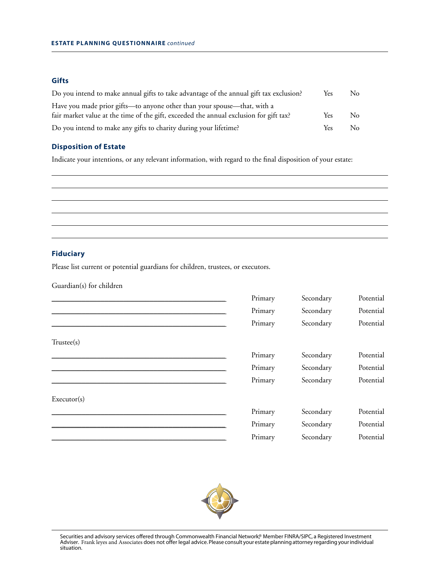### **Gifts**

| Do you intend to make annual gifts to take advantage of the annual gift tax exclusion? | Yes  | No.     |
|----------------------------------------------------------------------------------------|------|---------|
| Have you made prior gifts—to anyone other than your spouse—that, with a                |      |         |
| fair market value at the time of the gift, exceeded the annual exclusion for gift tax? | Yes  | No.     |
| Do you intend to make any gifts to charity during your lifetime?                       | Yes. | $N_{0}$ |

### **Disposition of Estate**

Indicate your intentions, or any relevant information, with regard to the final disposition of your estate:

### **Fiduciary**

Please list current or potential guardians for children, trustees, or executors.

Guardian(s) for children

|             | Primary | Secondary | Potential |
|-------------|---------|-----------|-----------|
|             | Primary | Secondary | Potential |
|             | Primary | Secondary | Potential |
| Trustee(s)  |         |           |           |
|             | Primary | Secondary | Potential |
|             | Primary | Secondary | Potential |
|             | Primary | Secondary | Potential |
| Executor(s) |         |           |           |
|             | Primary | Secondary | Potential |
|             | Primary | Secondary | Potential |
|             | Primary | Secondary | Potential |



Securities and advisory services offered through Commonwealth Financial Network® Member FINRA/SIPC, a Registered Investment Adviser. Frank leyes and Associates does not offer legal advice. Please consult your estate planning attorney regarding your individual situation.